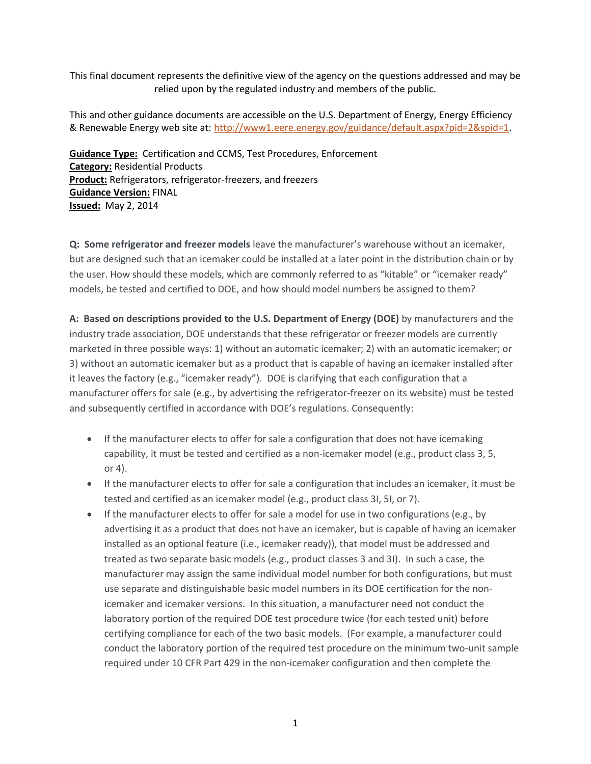This final document represents the definitive view of the agency on the questions addressed and may be relied upon by the regulated industry and members of the public.

This and other guidance documents are accessible on the U.S. Department of Energy, Energy Efficiency & Renewable Energy web site at[: http://www1.eere.energy.gov/guidance/default.aspx?pid=2&spid=1.](http://www1.eere.energy.gov/guidance/default.aspx?pid=2&spid=1)

**Guidance Type:** Certification and CCMS, Test Procedures, Enforcement **Category:** Residential Products **Product:** Refrigerators, refrigerator-freezers, and freezers **Guidance Version:** FINAL **Issued:** May 2, 2014

**Q: Some refrigerator and freezer models** leave the manufacturer's warehouse without an icemaker, but are designed such that an icemaker could be installed at a later point in the distribution chain or by the user. How should these models, which are commonly referred to as "kitable" or "icemaker ready" models, be tested and certified to DOE, and how should model numbers be assigned to them?

**A: Based on descriptions provided to the U.S. Department of Energy (DOE)** by manufacturers and the industry trade association, DOE understands that these refrigerator or freezer models are currently marketed in three possible ways: 1) without an automatic icemaker; 2) with an automatic icemaker; or 3) without an automatic icemaker but as a product that is capable of having an icemaker installed after it leaves the factory (e.g., "icemaker ready"). DOE is clarifying that each configuration that a manufacturer offers for sale (e.g., by advertising the refrigerator-freezer on its website) must be tested and subsequently certified in accordance with DOE's regulations. Consequently:

- If the manufacturer elects to offer for sale a configuration that does not have icemaking capability, it must be tested and certified as a non-icemaker model (e.g., product class 3, 5, or 4).
- If the manufacturer elects to offer for sale a configuration that includes an icemaker, it must be tested and certified as an icemaker model (e.g., product class 3I, 5I, or 7).
- $\bullet$  If the manufacturer elects to offer for sale a model for use in two configurations (e.g., by advertising it as a product that does not have an icemaker, but is capable of having an icemaker installed as an optional feature (i.e., icemaker ready)), that model must be addressed and treated as two separate basic models (e.g., product classes 3 and 3I). In such a case, the manufacturer may assign the same individual model number for both configurations, but must use separate and distinguishable basic model numbers in its DOE certification for the nonicemaker and icemaker versions. In this situation, a manufacturer need not conduct the laboratory portion of the required DOE test procedure twice (for each tested unit) before certifying compliance for each of the two basic models. (For example, a manufacturer could conduct the laboratory portion of the required test procedure on the minimum two-unit sample required under 10 CFR Part 429 in the non-icemaker configuration and then complete the